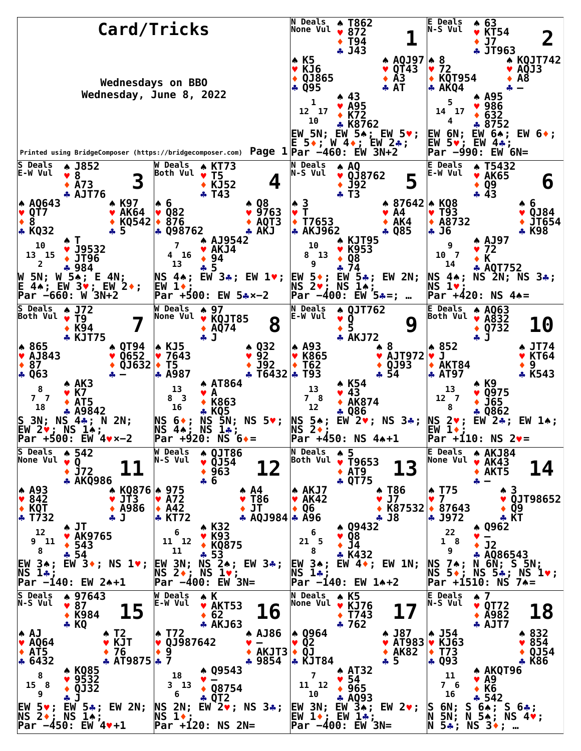